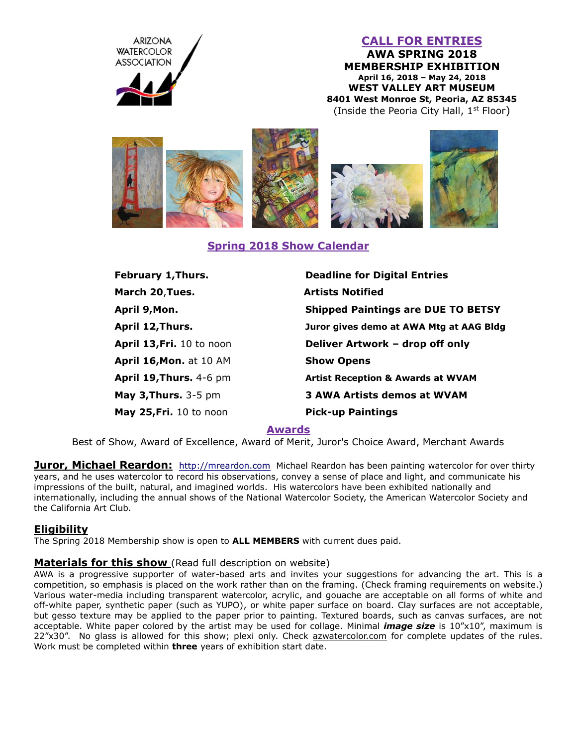

## **CALL FOR ENTRIES**

**AWA SPRING 2018 MEMBERSHIP EXHIBITION April 16, 2018 – May 24, 2018 WEST VALLEY ART MUSEUM 8401 West Monroe St, Peoria, AZ 85345** (Inside the Peoria City Hall, 1<sup>st</sup> Floor)



## **Spring 2018 Show Calendar**

| <b>Deadline for Digital Entries</b>          |
|----------------------------------------------|
| <b>Artists Notified</b>                      |
| <b>Shipped Paintings are DUE TO BETSY</b>    |
| Juror gives demo at AWA Mtg at AAG Bldg      |
| Deliver Artwork - drop off only              |
| <b>Show Opens</b>                            |
| <b>Artist Reception &amp; Awards at WVAM</b> |
| <b>3 AWA Artists demos at WVAM</b>           |
| <b>Pick-up Paintings</b>                     |
|                                              |

#### **Awards**

Best of Show, Award of Excellence, Award of Merit, Juror's Choice Award, Merchant Awards

**Juror, Michael Reardon:** [http://mreardon.com](http://mreardon.com/) Michael Reardon has been painting watercolor for over thirty years, and he uses watercolor to record his observations, convey a sense of place and light, and communicate his impressions of the built, natural, and imagined worlds. His watercolors have been exhibited nationally and internationally, including the annual shows of the National Watercolor Society, the American Watercolor Society and the California Art Club.

#### **Eligibility**

The Spring 2018 Membership show is open to **ALL MEMBERS** with current dues paid.

#### **Materials for this show** (Read full description on website)

AWA is a progressive supporter of water-based arts and invites your suggestions for advancing the art. This is a competition, so emphasis is placed on the work rather than on the framing. (Check framing requirements on website.) Various water-media including transparent watercolor, acrylic, and gouache are acceptable on all forms of white and off-white paper, synthetic paper (such as YUPO), or white paper surface on board. Clay surfaces are not acceptable, but gesso texture may be applied to the paper prior to painting. Textured boards, such as canvas surfaces, are not acceptable. White paper colored by the artist may be used for collage. Minimal *image size* is 10"x10", maximum is 22"x30". No glass is allowed for this show; plexi only. Check azwatercolor.com for complete updates of the rules. Work must be completed within **three** years of exhibition start date.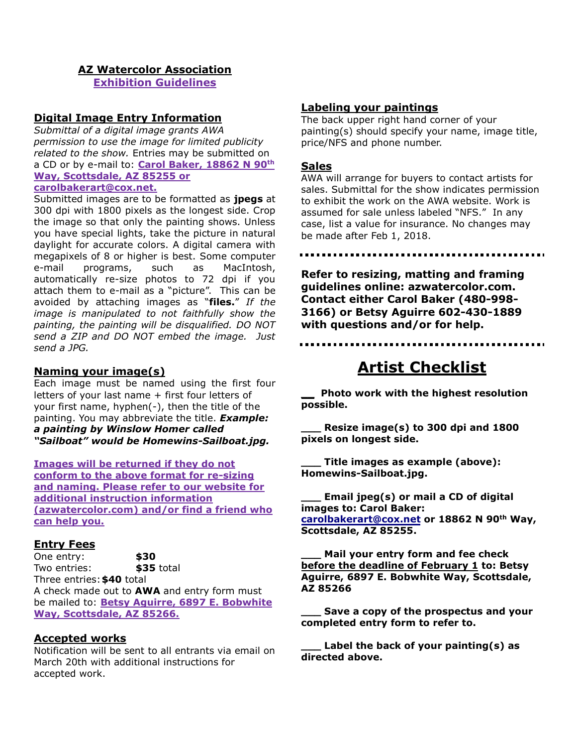## **AZ Watercolor Association**

**Exhibition Guidelines**

#### **Digital Image Entry Information**

*Submittal of a digital image grants AWA permission to use the image for limited publicity related to the show.* Entries may be submitted on a CD or by e-mail to: **Carol Baker, 18862 N 90th Way, Scottsdale, AZ 85255 or carolbakerart@cox.net.**

Submitted images are to be formatted as **jpegs** at 300 dpi with 1800 pixels as the longest side. Crop the image so that only the painting shows. Unless you have special lights, take the picture in natural daylight for accurate colors. A digital camera with megapixels of 8 or higher is best. Some computer e-mail programs, such as MacIntosh, automatically re-size photos to 72 dpi if you attach them to e-mail as a "picture". This can be avoided by attaching images as "**files.**" *If the image is manipulated to not faithfully show the painting, the painting will be disqualified. DO NOT send a ZIP and DO NOT embed the image. Just send a JPG.*

## **Naming your image(s)**

Each image must be named using the first four letters of your last name + first four letters of your first name, hyphen(-), then the title of the painting. You may abbreviate the title. *Example: a painting by Winslow Homer called "Sailboat" would be Homewins-Sailboat.jpg.*

**Images will be returned if they do not conform to the above format for re-sizing and naming. Please refer to our website for additional instruction information (azwatercolor.com) and/or find a friend who can help you.**

#### **Entry Fees**

One entry: **\$30** Two entries: **\$35** total Three entries:**\$40** total A check made out to **AWA** and entry form must be mailed to: **Betsy Aguirre, 6897 E. Bobwhite Way, Scottsdale, AZ 85266.**

#### **Accepted works**

Notification will be sent to all entrants via email on March 20th with additional instructions for accepted work.

#### **Labeling your paintings**

The back upper right hand corner of your painting(s) should specify your name, image title, price/NFS and phone number.

#### **Sales**

AWA will arrange for buyers to contact artists for sales. Submittal for the show indicates permission to exhibit the work on the AWA website. Work is assumed for sale unless labeled "NFS." In any case, list a value for insurance. No changes may be made after Feb 1, 2018.

**Refer to resizing, matting and framing guidelines online: azwatercolor.com. Contact either Carol Baker (480-998- 3166) or Betsy Aguirre 602-430-1889 with questions and/or for help.**

# **Artist Checklist**

**\_\_ Photo work with the highest resolution possible.** 

**\_\_\_ Resize image(s) to 300 dpi and 1800 pixels on longest side.** 

**\_\_\_ Title images as example (above): Homewins-Sailboat.jpg.**

**\_\_\_ Email jpeg(s) or mail a CD of digital images to: Carol Baker: [carolbakerart@cox.net](mailto:carolbakerart@cox.net) or 18862 N 90th Way, Scottsdale, AZ 85255.**

**\_\_\_ Mail your entry form and fee check before the deadline of February 1 to: Betsy Aguirre, 6897 E. Bobwhite Way, Scottsdale, AZ 85266**

**\_\_\_ Save a copy of the prospectus and your completed entry form to refer to.**

**\_\_\_ Label the back of your painting(s) as directed above.**